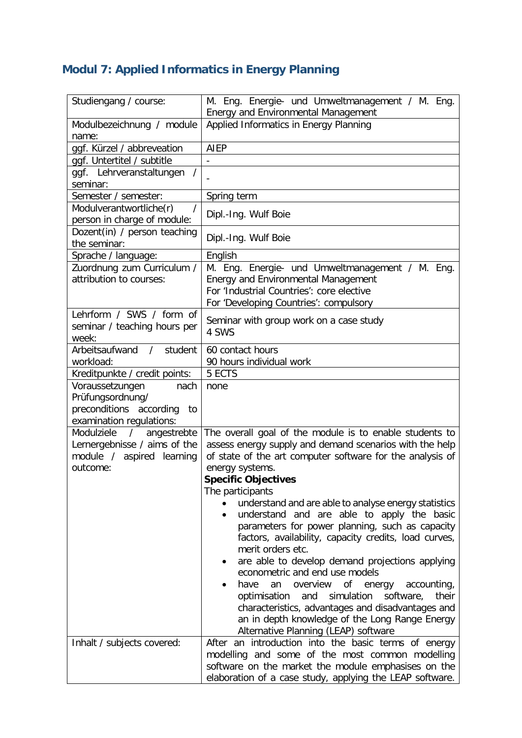## **Modul 7: Applied Informatics in Energy Planning**

| Studiengang / course:                                                                                                                          | M. Eng. Energie- und Umweltmanagement / M. Eng.<br>Energy and Environmental Management                                                                                                                                                                                                                                                                                                                                                                                                                                                                                                                                                                                                                                                                                                                                                                                                                      |
|------------------------------------------------------------------------------------------------------------------------------------------------|-------------------------------------------------------------------------------------------------------------------------------------------------------------------------------------------------------------------------------------------------------------------------------------------------------------------------------------------------------------------------------------------------------------------------------------------------------------------------------------------------------------------------------------------------------------------------------------------------------------------------------------------------------------------------------------------------------------------------------------------------------------------------------------------------------------------------------------------------------------------------------------------------------------|
| Modulbezeichnung / module<br>name:                                                                                                             | Applied Informatics in Energy Planning                                                                                                                                                                                                                                                                                                                                                                                                                                                                                                                                                                                                                                                                                                                                                                                                                                                                      |
| ggf. Kürzel / abbreveation                                                                                                                     | AIEP                                                                                                                                                                                                                                                                                                                                                                                                                                                                                                                                                                                                                                                                                                                                                                                                                                                                                                        |
| ggf. Untertitel / subtitle                                                                                                                     |                                                                                                                                                                                                                                                                                                                                                                                                                                                                                                                                                                                                                                                                                                                                                                                                                                                                                                             |
| ggf. Lehrveranstaltungen<br>$\prime$<br>seminar:                                                                                               |                                                                                                                                                                                                                                                                                                                                                                                                                                                                                                                                                                                                                                                                                                                                                                                                                                                                                                             |
| Semester / semester:                                                                                                                           | Spring term                                                                                                                                                                                                                                                                                                                                                                                                                                                                                                                                                                                                                                                                                                                                                                                                                                                                                                 |
| Modulverantwortliche(r)                                                                                                                        |                                                                                                                                                                                                                                                                                                                                                                                                                                                                                                                                                                                                                                                                                                                                                                                                                                                                                                             |
| person in charge of module:                                                                                                                    | Dipl.-Ing. Wulf Boie                                                                                                                                                                                                                                                                                                                                                                                                                                                                                                                                                                                                                                                                                                                                                                                                                                                                                        |
| Dozent(in) / person teaching<br>the seminar:                                                                                                   | Dipl.-Ing. Wulf Boie                                                                                                                                                                                                                                                                                                                                                                                                                                                                                                                                                                                                                                                                                                                                                                                                                                                                                        |
| Sprache / language:                                                                                                                            | English                                                                                                                                                                                                                                                                                                                                                                                                                                                                                                                                                                                                                                                                                                                                                                                                                                                                                                     |
| Zuordnung zum Curriculum /<br>attribution to courses:                                                                                          | M. Eng. Energie- und Umweltmanagement / M. Eng.<br><b>Energy and Environmental Management</b><br>For 'Industrial Countries': core elective<br>For 'Developing Countries': compulsory                                                                                                                                                                                                                                                                                                                                                                                                                                                                                                                                                                                                                                                                                                                        |
| Lehrform / SWS / form of<br>seminar / teaching hours per<br>week:                                                                              | Seminar with group work on a case study<br>4 SWS                                                                                                                                                                                                                                                                                                                                                                                                                                                                                                                                                                                                                                                                                                                                                                                                                                                            |
| Arbeitsaufwand<br>student<br>$\prime$                                                                                                          | 60 contact hours                                                                                                                                                                                                                                                                                                                                                                                                                                                                                                                                                                                                                                                                                                                                                                                                                                                                                            |
| workload:                                                                                                                                      | 90 hours individual work                                                                                                                                                                                                                                                                                                                                                                                                                                                                                                                                                                                                                                                                                                                                                                                                                                                                                    |
| Kreditpunkte / credit points:                                                                                                                  | 5 ECTS                                                                                                                                                                                                                                                                                                                                                                                                                                                                                                                                                                                                                                                                                                                                                                                                                                                                                                      |
| Voraussetzungen<br>nach<br>Prüfungsordnung/<br>preconditions according<br>to<br>examination regulations:                                       | none                                                                                                                                                                                                                                                                                                                                                                                                                                                                                                                                                                                                                                                                                                                                                                                                                                                                                                        |
| Modulziele<br>angestrebte<br>$\sqrt{2}$<br>Lernergebnisse / aims of the<br>module / aspired learning<br>outcome:<br>Inhalt / subjects covered: | The overall goal of the module is to enable students to<br>assess energy supply and demand scenarios with the help<br>of state of the art computer software for the analysis of<br>energy systems.<br><b>Specific Objectives</b><br>The participants<br>understand and are able to analyse energy statistics<br>understand and are able to apply the basic<br>parameters for power planning, such as capacity<br>factors, availability, capacity credits, load curves,<br>merit orders etc.<br>are able to develop demand projections applying<br>econometric and end use models<br>have<br>overview<br>Οf<br>energy<br>accounting,<br>an<br>simulation<br>software,<br>optimisation<br>their<br>and<br>characteristics, advantages and disadvantages and<br>an in depth knowledge of the Long Range Energy<br>Alternative Planning (LEAP) software<br>After an introduction into the basic terms of energy |
|                                                                                                                                                | modelling and some of the most common modelling<br>software on the market the module emphasises on the<br>elaboration of a case study, applying the LEAP software.                                                                                                                                                                                                                                                                                                                                                                                                                                                                                                                                                                                                                                                                                                                                          |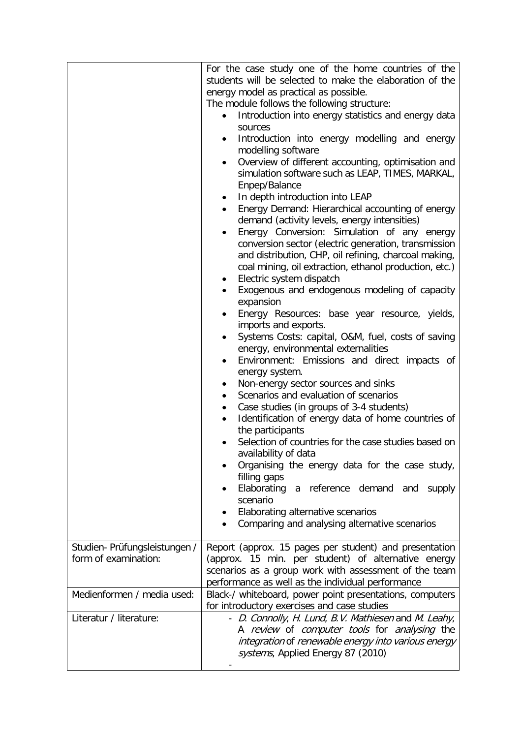|                                                      | For the case study one of the home countries of the<br>students will be selected to make the elaboration of the<br>energy model as practical as possible.<br>The module follows the following structure:<br>Introduction into energy statistics and energy data<br>sources<br>Introduction into energy modelling and energy<br>٠<br>modelling software<br>Overview of different accounting, optimisation and<br>$\bullet$<br>simulation software such as LEAP, TIMES, MARKAL,<br>Enpep/Balance<br>In depth introduction into LEAP<br>Energy Demand: Hierarchical accounting of energy<br>$\bullet$<br>demand (activity levels, energy intensities)<br>Energy Conversion: Simulation of any energy<br>٠<br>conversion sector (electric generation, transmission<br>and distribution, CHP, oil refining, charcoal making,<br>coal mining, oil extraction, ethanol production, etc.)<br>Electric system dispatch<br>٠<br>Exogenous and endogenous modeling of capacity<br>$\bullet$<br>expansion<br>Energy Resources: base year resource, yields,<br>imports and exports.<br>Systems Costs: capital, O&M, fuel, costs of saving<br>٠<br>energy, environmental externalities<br>Environment: Emissions and direct impacts of<br>energy system.<br>Non-energy sector sources and sinks<br>٠<br>Scenarios and evaluation of scenarios<br>$\bullet$<br>Case studies (in groups of 3-4 students)<br>٠<br>Identification of energy data of home countries of<br>$\bullet$<br>the participants<br>Selection of countries for the case studies based on<br>availability of data<br>Organising the energy data for the case study,<br>filling gaps<br>Elaborating a reference demand<br>and<br>supply<br>scenario<br>Elaborating alternative scenarios<br>Comparing and analysing alternative scenarios |
|------------------------------------------------------|---------------------------------------------------------------------------------------------------------------------------------------------------------------------------------------------------------------------------------------------------------------------------------------------------------------------------------------------------------------------------------------------------------------------------------------------------------------------------------------------------------------------------------------------------------------------------------------------------------------------------------------------------------------------------------------------------------------------------------------------------------------------------------------------------------------------------------------------------------------------------------------------------------------------------------------------------------------------------------------------------------------------------------------------------------------------------------------------------------------------------------------------------------------------------------------------------------------------------------------------------------------------------------------------------------------------------------------------------------------------------------------------------------------------------------------------------------------------------------------------------------------------------------------------------------------------------------------------------------------------------------------------------------------------------------------------------------------------------------------------------------------------------------------------|
| Studien-Prüfungsleistungen /<br>form of examination: | Report (approx. 15 pages per student) and presentation<br>(approx. 15 min. per student) of alternative energy<br>scenarios as a group work with assessment of the team<br>performance as well as the individual performance                                                                                                                                                                                                                                                                                                                                                                                                                                                                                                                                                                                                                                                                                                                                                                                                                                                                                                                                                                                                                                                                                                                                                                                                                                                                                                                                                                                                                                                                                                                                                                 |
| Medienformen / media used:                           | Black-/ whiteboard, power point presentations, computers<br>for introductory exercises and case studies                                                                                                                                                                                                                                                                                                                                                                                                                                                                                                                                                                                                                                                                                                                                                                                                                                                                                                                                                                                                                                                                                                                                                                                                                                                                                                                                                                                                                                                                                                                                                                                                                                                                                     |
| Literatur / literature:                              | - D. Connolly, H. Lund, B.V. Mathiesen and M. Leahy,<br>A review of computer tools for analysing the<br>integration of renewable energy into various energy<br>systems, Applied Energy 87 (2010)                                                                                                                                                                                                                                                                                                                                                                                                                                                                                                                                                                                                                                                                                                                                                                                                                                                                                                                                                                                                                                                                                                                                                                                                                                                                                                                                                                                                                                                                                                                                                                                            |